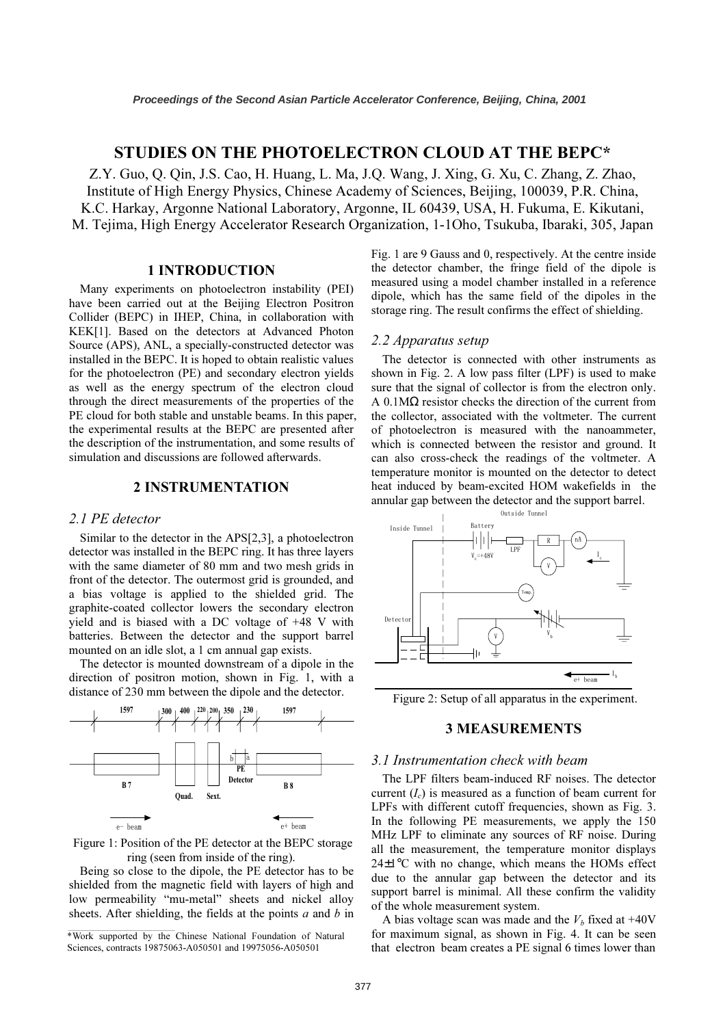# STUDIES ON THE PHOTOELECTRON CLOUD AT THE BEPC\*

Z.Y. Guo, Q. Qin, J.S. Cao, H. Huang, L. Ma, J.Q. Wang, J. Xing, G. Xu, C. Zhang, Z. Zhao, Institute of High Energy Physics, Chinese Academy of Sciences, Beijing, 100039, P.R. China, K.C. Harkay, Argonne National Laboratory, Argonne, IL 60439, USA, H. Fukuma, E. Kikutani, M. Tejima, High Energy Accelerator Research Organization, 1-1Oho, Tsukuba, Ibaraki, 305, Japan

## 1 INTRODUCTION

Many experiments on photoelectron instability (PEI) have been carried out at the Beijing Electron Positron Collider (BEPC) in IHEP, China, in collaboration with KEK[1]. Based on the detectors at Advanced Photon Source (APS), ANL, a specially-constructed detector was installed in the BEPC. It is hoped to obtain realistic values for the photoelectron (PE) and secondary electron yields as well as the energy spectrum of the electron cloud through the direct measurements of the properties of the PE cloud for both stable and unstable beams. In this paper, the experimental results at the BEPC are presented after the description of the instrumentation, and some results of simulation and discussions are followed afterwards.

## 2 INSTRUMENTATION

### 2.1 PE detector

Similar to the detector in the APS[2,3], a photoelectron detector was installed in the BEPC ring. It has three layers with the same diameter of 80 mm and two mesh grids in front of the detector. The outermost grid is grounded, and a bias voltage is applied to the shielded grid. The graphite-coated collector lowers the secondary electron yield and is biased with a DC voltage of +48 V with batteries. Between the detector and the support barrel mounted on an idle slot, a 1 cm annual gap exists.

The detector is mounted downstream of a dipole in the direction of positron motion, shown in Fig. 1, with a distance of 230 mm between the dipole and the detector.



 Figure 1: Position of the PE detector at the BEPC storage ring (seen from inside of the ring).

Being so close to the dipole, the PE detector has to be shielded from the magnetic field with layers of high and low permeability "mu-metal" sheets and nickel alloy sheets. After shielding, the fields at the points  $a$  and  $b$  in

\*Work supported by the Chinese National Foundation of Natural Sciences, contracts 19875063-A050501 and 19975056-A050501

Fig. 1 are 9 Gauss and 0, respectively. At the centre inside the detector chamber, the fringe field of the dipole is measured using a model chamber installed in a reference dipole, which has the same field of the dipoles in the storage ring. The result confirms the effect of shielding.

### 2.2 Apparatus setup

The detector is connected with other instruments as shown in Fig. 2. A low pass filter (LPF) is used to make sure that the signal of collector is from the electron only. A 0.1MΩ resistor checks the direction of the current from the collector, associated with the voltmeter. The current of photoelectron is measured with the nanoammeter, which is connected between the resistor and ground. It can also cross-check the readings of the voltmeter. A temperature monitor is mounted on the detector to detect heat induced by beam-excited HOM wakefields in the annular gap between the detector and the support barrel.



Figure 2: Setup of all apparatus in the experiment.

## 3 MEASUREMENTS

### 3.1 Instrumentation check with beam

The LPF filters beam-induced RF noises. The detector current  $(I_c)$  is measured as a function of beam current for LPFs with different cutoff frequencies, shown as Fig. 3. In the following PE measurements, we apply the 150 MHz LPF to eliminate any sources of RF noise. During all the measurement, the temperature monitor displays 24±1°C with no change, which means the HOMs effect due to the annular gap between the detector and its support barrel is minimal. All these confirm the validity of the whole measurement system.

A bias voltage scan was made and the  $V_b$  fixed at +40V for maximum signal, as shown in Fig. 4. It can be seen that electron beam creates a PE signal 6 times lower than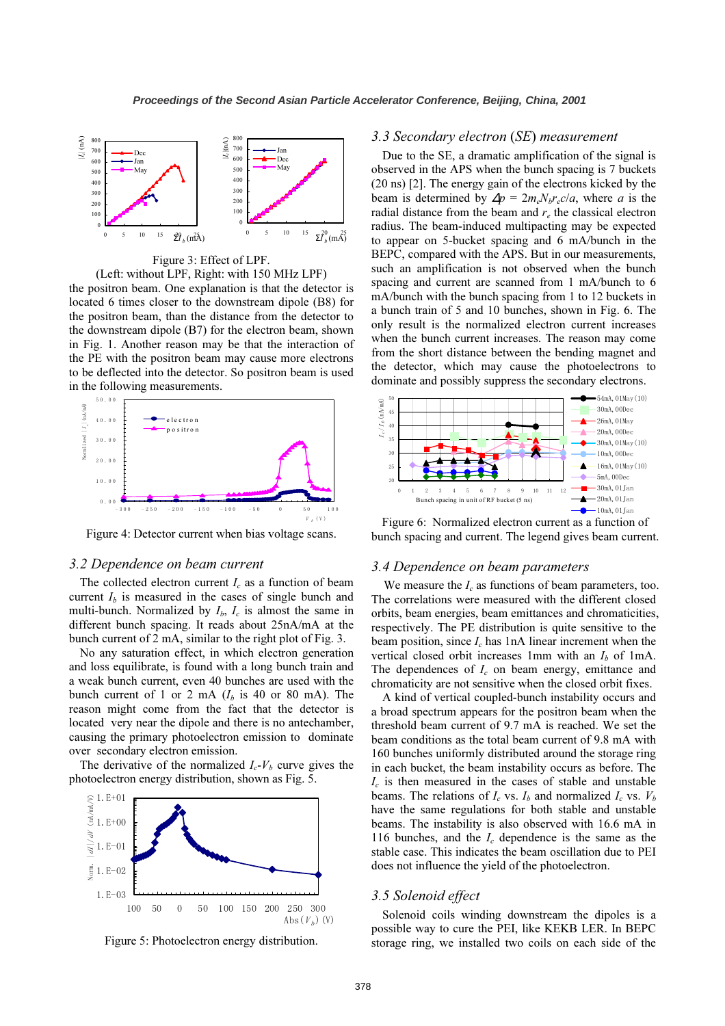

Figure 3: Effect of LPF.

(Left: without LPF, Right: with 150 MHz LPF)

the positron beam. One explanation is that the detector is located 6 times closer to the downstream dipole (B8) for the positron beam, than the distance from the detector to the downstream dipole (B7) for the electron beam, shown in Fig. 1. Another reason may be that the interaction of the PE with the positron beam may cause more electrons to be deflected into the detector. So positron beam is used in the following measurements.



Figure 4: Detector current when bias voltage scans.

#### 3.2 Dependence on beam current

The collected electron current  $I_c$  as a function of beam current  $I<sub>b</sub>$  is measured in the cases of single bunch and multi-bunch. Normalized by  $I_b$ ,  $I_c$  is almost the same in different bunch spacing. It reads about 25nA/mA at the bunch current of 2 mA, similar to the right plot of Fig. 3.

No any saturation effect, in which electron generation and loss equilibrate, is found with a long bunch train and a weak bunch current, even 40 bunches are used with the bunch current of 1 or 2 mA  $(I_b$  is 40 or 80 mA). The reason might come from the fact that the detector is located very near the dipole and there is no antechamber, causing the primary photoelectron emission to dominate over secondary electron emission.

The derivative of the normalized  $I_c$ - $V_b$  curve gives the photoelectron energy distribution, shown as Fig. 5.



Figure 5: Photoelectron energy distribution.

### 3.3 Secondary electron (SE) measurement

Due to the SE, a dramatic amplification of the signal is observed in the APS when the bunch spacing is 7 buckets (20 ns) [2]. The energy gain of the electrons kicked by the beam is determined by  $\Delta p = 2m_e N_b r_e c/a$ , where a is the radial distance from the beam and  $r_e$  the classical electron radius. The beam-induced multipacting may be expected to appear on 5-bucket spacing and 6 mA/bunch in the BEPC, compared with the APS. But in our measurements, such an amplification is not observed when the bunch spacing and current are scanned from 1 mA/bunch to 6 mA/bunch with the bunch spacing from 1 to 12 buckets in a bunch train of 5 and 10 bunches, shown in Fig. 6. The only result is the normalized electron current increases when the bunch current increases. The reason may come from the short distance between the bending magnet and the detector, which may cause the photoelectrons to dominate and possibly suppress the secondary electrons.



 Figure 6: Normalized electron current as a function of bunch spacing and current. The legend gives beam current.

#### 3.4 Dependence on beam parameters

We measure the  $I_c$  as functions of beam parameters, too. The correlations were measured with the different closed orbits, beam energies, beam emittances and chromaticities, respectively. The PE distribution is quite sensitive to the beam position, since  $I_c$  has 1nA linear increment when the vertical closed orbit increases 1mm with an  $I<sub>b</sub>$  of 1mA. The dependences of  $I_c$  on beam energy, emittance and chromaticity are not sensitive when the closed orbit fixes.

A kind of vertical coupled-bunch instability occurs and a broad spectrum appears for the positron beam when the threshold beam current of 9.7 mA is reached. We set the beam conditions as the total beam current of 9.8 mA with 160 bunches uniformly distributed around the storage ring in each bucket, the beam instability occurs as before. The  $I_c$  is then measured in the cases of stable and unstable beams. The relations of  $I_c$  vs.  $I_b$  and normalized  $I_c$  vs.  $V_b$ have the same regulations for both stable and unstable beams. The instability is also observed with 16.6 mA in 116 bunches, and the  $I_c$  dependence is the same as the stable case. This indicates the beam oscillation due to PEI does not influence the yield of the photoelectron.

#### 3.5 Solenoid effect

Solenoid coils winding downstream the dipoles is a possible way to cure the PEI, like KEKB LER. In BEPC storage ring, we installed two coils on each side of the